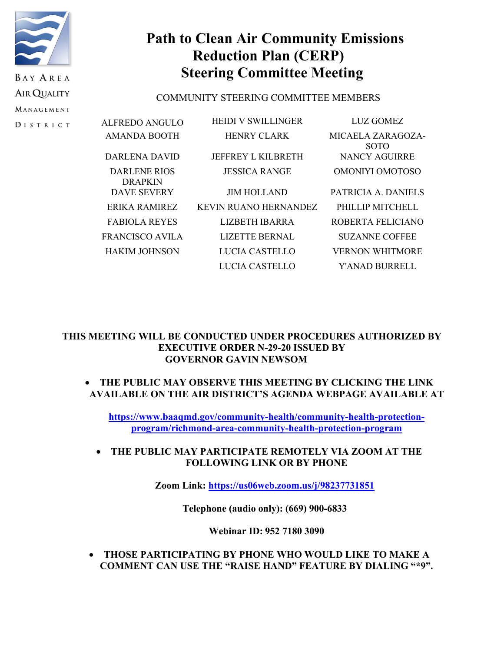

**DISTRICT** 

# **Path to Clean Air Community Emissions Reduction Plan (CERP) Steering Committee Meeting**

# COMMUNITY STEERING COMMITTEE MEMBERS

| ALFREDO ANGULO                 | <b>HEIDI V SWILLINGER</b>    | LUZ GOMEZ                        |
|--------------------------------|------------------------------|----------------------------------|
| AMANDA BOOTH                   | <b>HENRY CLARK</b>           | MICAELA ZARAGOZA-<br><b>SOTO</b> |
| DARLENA DAVID                  | <b>JEFFREY L KILBRETH</b>    | NANCY AGUIRRE                    |
| DARLENE RIOS<br><b>DRAPKIN</b> | <b>JESSICA RANGE</b>         | OMONIYI OMOTOSO                  |
| <b>DAVE SEVERY</b>             | <b>JIM HOLLAND</b>           | PATRICIA A. DANIELS              |
| ERIKA RAMIREZ                  | <b>KEVIN RUANO HERNANDEZ</b> | PHILLIP MITCHELL                 |
| <b>FABIOLA REYES</b>           | LIZBETH IBARRA               | ROBERTA FELICIANO                |
| FRANCISCO AVILA                | <b>LIZETTE BERNAL</b>        | <b>SUZANNE COFFEE</b>            |
| <b>HAKIM JOHNSON</b>           | LUCIA CASTELLO               | <b>VERNON WHITMORE</b>           |
|                                | LUCIA CASTELLO               | Y'ANAD BURRELL                   |

# **THIS MEETING WILL BE CONDUCTED UNDER PROCEDURES AUTHORIZED BY EXECUTIVE ORDER N-29-20 ISSUED BY GOVERNOR GAVIN NEWSOM**

# • **THE PUBLIC MAY OBSERVE THIS MEETING BY CLICKING THE LINK AVAILABLE ON THE AIR DISTRICT'S AGENDA WEBPAGE AVAILABLE AT**

**[https://www.baaqmd.gov/community-health/community-health-protection](https://www.baaqmd.gov/community-health/community-health-protection-program/richmond-area-community-health-protection-program)[program/richmond-area-community-health-protection-program](https://www.baaqmd.gov/community-health/community-health-protection-program/richmond-area-community-health-protection-program)**

# • **THE PUBLIC MAY PARTICIPATE REMOTELY VIA ZOOM AT THE FOLLOWING LINK OR BY PHONE**

**Zoom Link:<https://us06web.zoom.us/j/98237731851>**

**Telephone (audio only): (669) 900-6833** 

# **Webinar ID: 952 7180 3090**

• **THOSE PARTICIPATING BY PHONE WHO WOULD LIKE TO MAKE A COMMENT CAN USE THE "RAISE HAND" FEATURE BY DIALING "\*9".**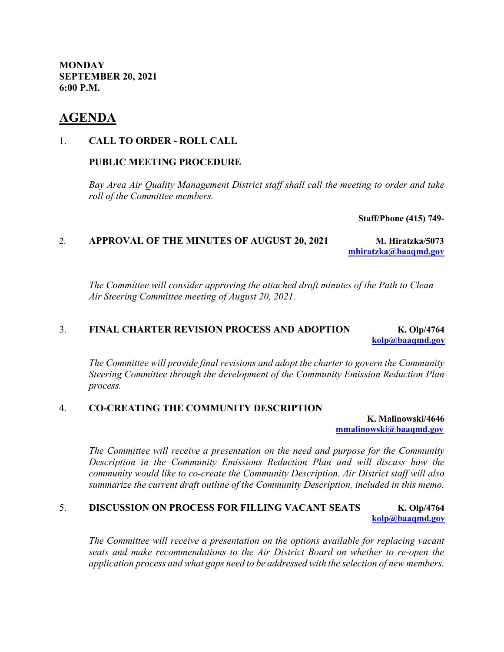**MONDAY SEPTEMBER 20, 2021 6:00 P.M.**

# **AGENDA**

### 1. **CALL TO ORDER - ROLL CALL**

### **PUBLIC MEETING PROCEDURE**

*Bay Area Air Quality Management District staff shall call the meeting to order and take roll of the Committee members.*

**Staff/Phone (415) 749-**

### 2. **APPROVAL OF THE MINUTES OF AUGUST 20, 2021 M. Hiratzka/5073 [mhiratzka@baaqmd.gov](mailto:mhiratzka@baaqmd.gov)**

*The Committee will consider approving the attached draft minutes of the Path to Clean Air Steering Committee meeting of August 20, 2021.*

# 3. **FINAL CHARTER REVISION PROCESS AND ADOPTION K. Olp/4764 [kolp@baaqmd.gov](mailto:kolp@baaqmd.gov)**

*The Committee will provide final revisions and adopt the charter to govern the Community Steering Committee through the development of the Community Emission Reduction Plan process.*

### 4. **CO-CREATING THE COMMUNITY DESCRIPTION**

**K. Malinowski/4646 [mmalinowski@baaqmd.gov](mailto:mmalinowski@baaqmd.gov)**

*The Committee will receive a presentation on the need and purpose for the Community Description in the Community Emissions Reduction Plan and will discuss how the community would like to co-create the Community Description. Air District staff will also summarize the current draft outline of the Community Description, included in this memo.*

# 5. **DISCUSSION ON PROCESS FOR FILLING VACANT SEATS K. Olp/4764 [kolp@baaqmd.gov](mailto:kolp@baaqmd.gov)**

*The Committee will receive a presentation on the options available for replacing vacant seats and make recommendations to the Air District Board on whether to re-open the application process and what gaps need to be addressed with the selection of new members.*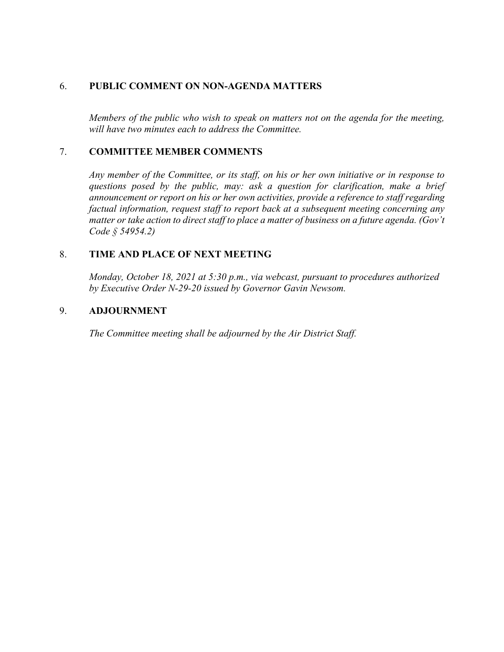# 6. **PUBLIC COMMENT ON NON-AGENDA MATTERS**

*Members of the public who wish to speak on matters not on the agenda for the meeting, will have two minutes each to address the Committee.* 

### 7. **COMMITTEE MEMBER COMMENTS**

*Any member of the Committee, or its staff, on his or her own initiative or in response to questions posed by the public, may: ask a question for clarification, make a brief announcement or report on his or her own activities, provide a reference to staff regarding factual information, request staff to report back at a subsequent meeting concerning any matter or take action to direct staff to place a matter of business on a future agenda. (Gov't Code § 54954.2)*

# 8. **TIME AND PLACE OF NEXT MEETING**

*Monday, October 18, 2021 at 5:30 p.m., via webcast, pursuant to procedures authorized by Executive Order N-29-20 issued by Governor Gavin Newsom.*

### 9. **ADJOURNMENT**

*The Committee meeting shall be adjourned by the Air District Staff.*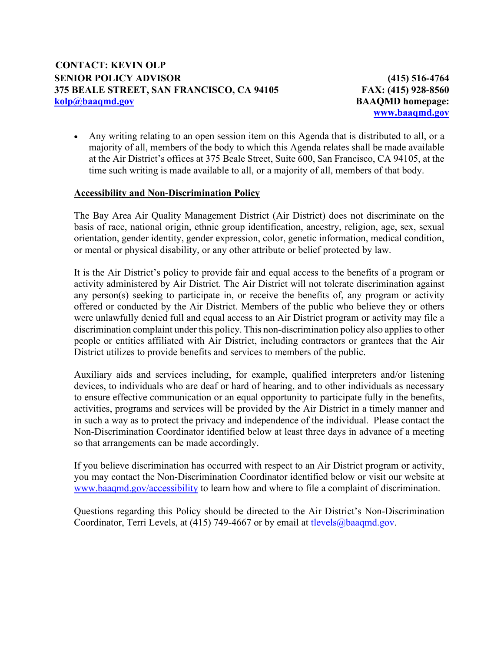**(415) 516-4764 FAX: (415) 928-8560 BAAQMD homepage: [www.baaqmd.gov](http://www.baaqmd.gov/)**

• Any writing relating to an open session item on this Agenda that is distributed to all, or a majority of all, members of the body to which this Agenda relates shall be made available at the Air District's offices at 375 Beale Street, Suite 600, San Francisco, CA 94105, at the time such writing is made available to all, or a majority of all, members of that body.

### **Accessibility and Non-Discrimination Policy**

The Bay Area Air Quality Management District (Air District) does not discriminate on the basis of race, national origin, ethnic group identification, ancestry, religion, age, sex, sexual orientation, gender identity, gender expression, color, genetic information, medical condition, or mental or physical disability, or any other attribute or belief protected by law.

It is the Air District's policy to provide fair and equal access to the benefits of a program or activity administered by Air District. The Air District will not tolerate discrimination against any person(s) seeking to participate in, or receive the benefits of, any program or activity offered or conducted by the Air District. Members of the public who believe they or others were unlawfully denied full and equal access to an Air District program or activity may file a discrimination complaint under this policy. This non-discrimination policy also applies to other people or entities affiliated with Air District, including contractors or grantees that the Air District utilizes to provide benefits and services to members of the public.

Auxiliary aids and services including, for example, qualified interpreters and/or listening devices, to individuals who are deaf or hard of hearing, and to other individuals as necessary to ensure effective communication or an equal opportunity to participate fully in the benefits, activities, programs and services will be provided by the Air District in a timely manner and in such a way as to protect the privacy and independence of the individual. Please contact the Non-Discrimination Coordinator identified below at least three days in advance of a meeting so that arrangements can be made accordingly.

If you believe discrimination has occurred with respect to an Air District program or activity, you may contact the Non-Discrimination Coordinator identified below or visit our website at [www.baaqmd.gov/accessibility](http://www.baaqmd.gov/accessibility) to learn how and where to file a complaint of discrimination.

Questions regarding this Policy should be directed to the Air District's Non-Discrimination Coordinator, Terri Levels, at  $(415)$  749-4667 or by email at tlevels  $@$  baaqmd.gov.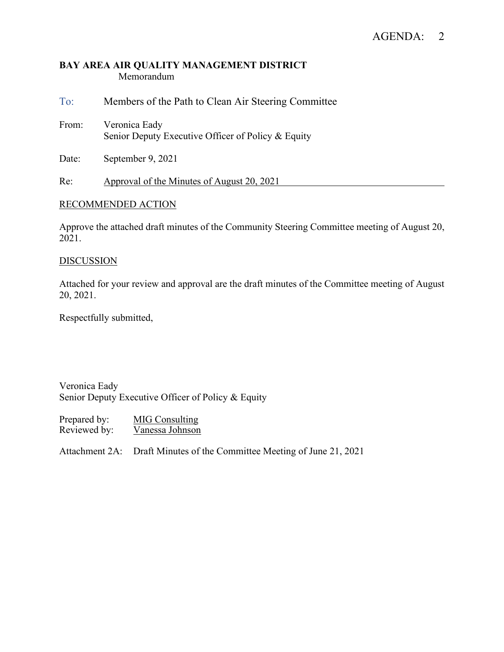### **BAY AREA AIR QUALITY MANAGEMENT DISTRICT** Memorandum

To: Members of the Path to Clean Air Steering Committee From: Veronica Eady Senior Deputy Executive Officer of Policy & Equity

Date: September 9, 2021

Re: Approval of the Minutes of August 20, 2021

### RECOMMENDED ACTION

Approve the attached draft minutes of the Community Steering Committee meeting of August 20, 2021.

### **DISCUSSION**

Attached for your review and approval are the draft minutes of the Committee meeting of August 20, 2021.

Respectfully submitted,

Veronica Eady Senior Deputy Executive Officer of Policy & Equity

Prepared by: MIG Consulting Reviewed by: Vanessa Johnson

Attachment 2A: Draft Minutes of the Committee Meeting of June 21, 2021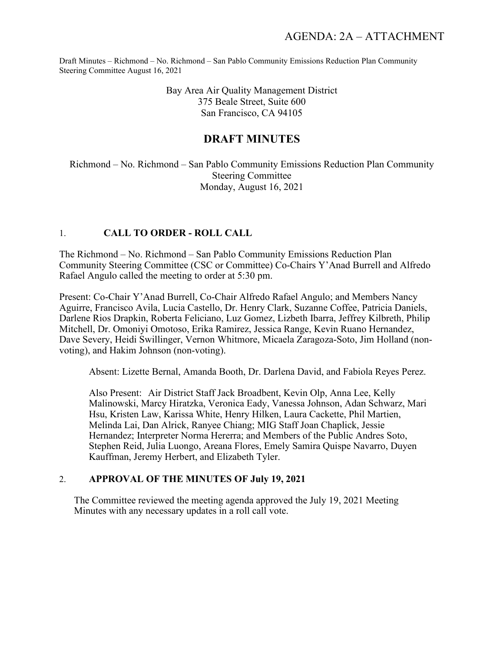> Bay Area Air Quality Management District 375 Beale Street, Suite 600 San Francisco, CA 94105

# **DRAFT MINUTES**

Richmond – No. Richmond – San Pablo Community Emissions Reduction Plan Community Steering Committee Monday, August 16, 2021

### 1. **CALL TO ORDER - ROLL CALL**

The Richmond – No. Richmond – San Pablo Community Emissions Reduction Plan Community Steering Committee (CSC or Committee) Co-Chairs Y'Anad Burrell and Alfredo Rafael Angulo called the meeting to order at 5:30 pm.

Present: Co-Chair Y'Anad Burrell, Co-Chair Alfredo Rafael Angulo; and Members Nancy Aguirre, Francisco Avila, Lucia Castello, Dr. Henry Clark, Suzanne Coffee, Patricia Daniels, Darlene Rios Drapkin, Roberta Feliciano, Luz Gomez, Lizbeth Ibarra, Jeffrey Kilbreth, Philip Mitchell, Dr. Omoniyi Omotoso, Erika Ramirez, Jessica Range, Kevin Ruano Hernandez, Dave Severy, Heidi Swillinger, Vernon Whitmore, Micaela Zaragoza-Soto, Jim Holland (nonvoting), and Hakim Johnson (non-voting).

Absent: Lizette Bernal, Amanda Booth, Dr. Darlena David, and Fabiola Reyes Perez.

Also Present: Air District Staff Jack Broadbent, Kevin Olp, Anna Lee, Kelly Malinowski, Marcy Hiratzka, Veronica Eady, Vanessa Johnson, Adan Schwarz, Mari Hsu, Kristen Law, Karissa White, Henry Hilken, Laura Cackette, Phil Martien, Melinda Lai, Dan Alrick, Ranyee Chiang; MIG Staff Joan Chaplick, Jessie Hernandez; Interpreter Norma Hererra; and Members of the Public Andres Soto, Stephen Reid, Julia Luongo, Areana Flores, Emely Samira Quispe Navarro, Duyen Kauffman, Jeremy Herbert, and Elizabeth Tyler.

# 2. **APPROVAL OF THE MINUTES OF July 19, 2021**

The Committee reviewed the meeting agenda approved the July 19, 2021 Meeting Minutes with any necessary updates in a roll call vote.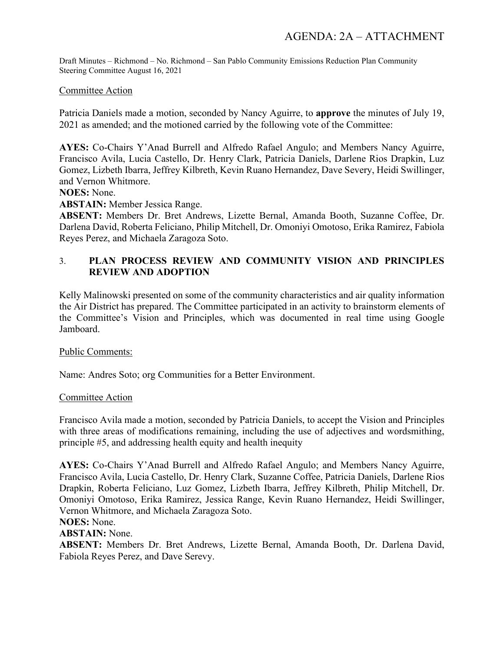### Committee Action

Patricia Daniels made a motion, seconded by Nancy Aguirre, to **approve** the minutes of July 19, 2021 as amended; and the motioned carried by the following vote of the Committee:

**AYES:** Co-Chairs Y'Anad Burrell and Alfredo Rafael Angulo; and Members Nancy Aguirre, Francisco Avila, Lucia Castello, Dr. Henry Clark, Patricia Daniels, Darlene Rios Drapkin, Luz Gomez, Lizbeth Ibarra, Jeffrey Kilbreth, Kevin Ruano Hernandez, Dave Severy, Heidi Swillinger, and Vernon Whitmore.

**NOES:** None.

**ABSTAIN:** Member Jessica Range.

**ABSENT:** Members Dr. Bret Andrews, Lizette Bernal, Amanda Booth, Suzanne Coffee, Dr. Darlena David, Roberta Feliciano, Philip Mitchell, Dr. Omoniyi Omotoso, Erika Ramirez, Fabiola Reyes Perez, and Michaela Zaragoza Soto.

# 3. **PLAN PROCESS REVIEW AND COMMUNITY VISION AND PRINCIPLES REVIEW AND ADOPTION**

Kelly Malinowski presented on some of the community characteristics and air quality information the Air District has prepared. The Committee participated in an activity to brainstorm elements of the Committee's Vision and Principles, which was documented in real time using Google Jamboard.

### Public Comments:

Name: Andres Soto; org Communities for a Better Environment.

### Committee Action

Francisco Avila made a motion, seconded by Patricia Daniels, to accept the Vision and Principles with three areas of modifications remaining, including the use of adjectives and wordsmithing, principle #5, and addressing health equity and health inequity

**AYES:** Co-Chairs Y'Anad Burrell and Alfredo Rafael Angulo; and Members Nancy Aguirre, Francisco Avila, Lucia Castello, Dr. Henry Clark, Suzanne Coffee, Patricia Daniels, Darlene Rios Drapkin, Roberta Feliciano, Luz Gomez, Lizbeth Ibarra, Jeffrey Kilbreth, Philip Mitchell, Dr. Omoniyi Omotoso, Erika Ramirez, Jessica Range, Kevin Ruano Hernandez, Heidi Swillinger, Vernon Whitmore, and Michaela Zaragoza Soto.

**NOES:** None.

**ABSTAIN:** None.

**ABSENT:** Members Dr. Bret Andrews, Lizette Bernal, Amanda Booth, Dr. Darlena David, Fabiola Reyes Perez, and Dave Serevy.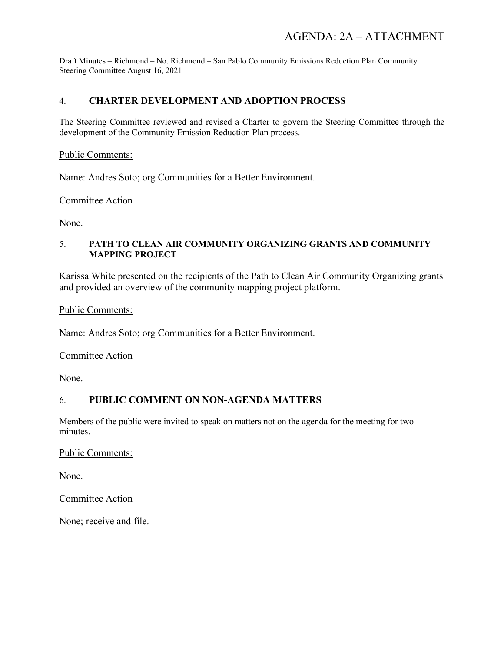# 4. **CHARTER DEVELOPMENT AND ADOPTION PROCESS**

The Steering Committee reviewed and revised a Charter to govern the Steering Committee through the development of the Community Emission Reduction Plan process.

### Public Comments:

Name: Andres Soto; org Communities for a Better Environment.

### Committee Action

None.

### 5. **PATH TO CLEAN AIR COMMUNITY ORGANIZING GRANTS AND COMMUNITY MAPPING PROJECT**

Karissa White presented on the recipients of the Path to Clean Air Community Organizing grants and provided an overview of the community mapping project platform.

### Public Comments:

Name: Andres Soto; org Communities for a Better Environment.

### Committee Action

None.

### 6. **PUBLIC COMMENT ON NON-AGENDA MATTERS**

Members of the public were invited to speak on matters not on the agenda for the meeting for two minutes.

### Public Comments:

None.

Committee Action

None; receive and file.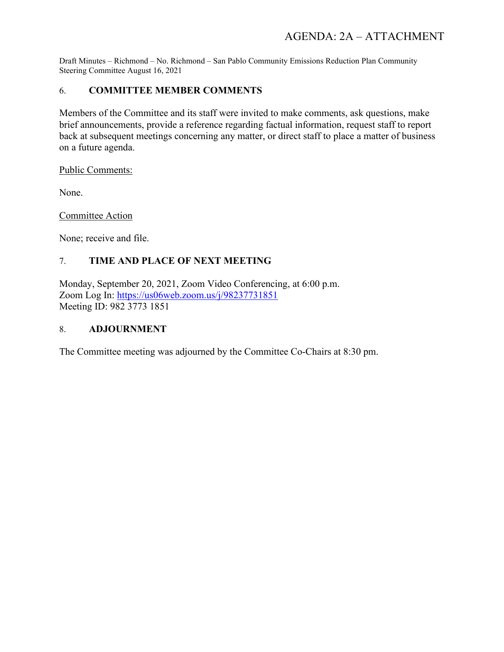# 6. **COMMITTEE MEMBER COMMENTS**

Members of the Committee and its staff were invited to make comments, ask questions, make brief announcements, provide a reference regarding factual information, request staff to report back at subsequent meetings concerning any matter, or direct staff to place a matter of business on a future agenda.

Public Comments:

None.

Committee Action

None; receive and file.

# 7. **TIME AND PLACE OF NEXT MEETING**

Monday, September 20, 2021, Zoom Video Conferencing, at 6:00 p.m. Zoom Log In:<https://us06web.zoom.us/j/98237731851> Meeting ID: 982 3773 1851

### 8. **ADJOURNMENT**

The Committee meeting was adjourned by the Committee Co-Chairs at 8:30 pm.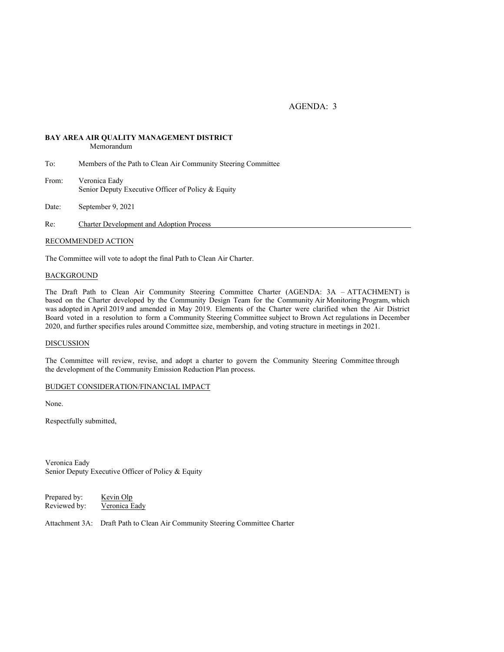AGENDA: 3

# **BAY AREA AIR QUALITY MANAGEMENT DISTRICT**

Memorandum

- To: Members of the Path to Clean Air Community Steering Committee
- From: Veronica Eady Senior Deputy Executive Officer of Policy & Equity

Date: September 9, 2021

Re: Charter Development and Adoption Process

### RECOMMENDED ACTION

The Committee will vote to adopt the final Path to Clean Air Charter.

### BACKGROUND

The Draft Path to Clean Air Community Steering Committee Charter (AGENDA: 3A – ATTACHMENT) is based on the Charter developed by the Community Design Team for the Community Air Monitoring Program, which was adopted in April 2019 and amended in May 2019. Elements of the Charter were clarified when the Air District Board voted in a resolution to form a Community Steering Committee subject to Brown Act regulations in December 2020, and further specifies rules around Committee size, membership, and voting structure in meetings in 2021.

### DISCUSSION

The Committee will review, revise, and adopt a charter to govern the Community Steering Committee through the development of the Community Emission Reduction Plan process.

### BUDGET CONSIDERATION/FINANCIAL IMPACT

None.

Respectfully submitted,

Veronica Eady Senior Deputy Executive Officer of Policy & Equity

Prepared by: Kevin Olp Reviewed by: Veronica Eady

Attachment 3A: Draft Path to Clean Air Community Steering Committee Charter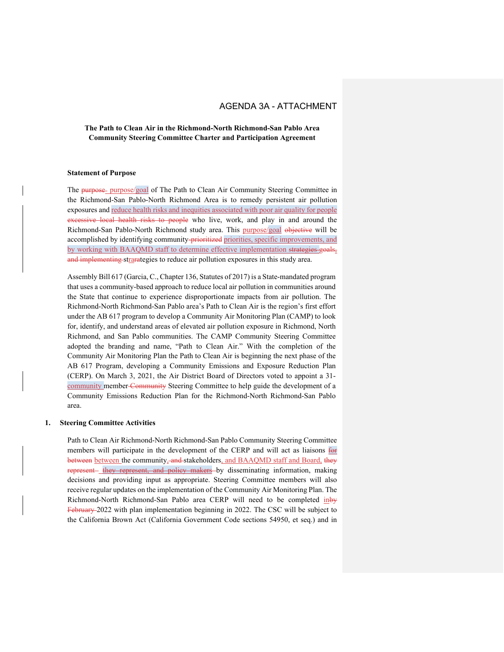### **The Path to Clean Air in the Richmond-North Richmond-San Pablo Area Community Steering Committee Charter and Participation Agreement**

#### **Statement of Purpose**

The purpose- purpose/goal of The Path to Clean Air Community Steering Committee in the Richmond-San Pablo-North Richmond Area is to remedy persistent air pollution exposures and reduce health risks and inequities associated with poor air quality for people excessive local health risks to people who live, work, and play in and around the Richmond-San Pablo-North Richmond study area. This purpose/goal objective will be accomplished by identifying community-prioritized priorities, specific improvements, and by working with BAAQMD staff to determine effective implementation strategies goals, and implementing strarategies to reduce air pollution exposures in this study area.

Assembly Bill 617 (Garcia, C., Chapter 136, Statutes of 2017) is a State-mandated program that uses a community-based approach to reduce local air pollution in communities around the State that continue to experience disproportionate impacts from air pollution. The Richmond-North Richmond-San Pablo area's Path to Clean Air is the region's first effort under the AB 617 program to develop a Community Air Monitoring Plan (CAMP) to look for, identify, and understand areas of elevated air pollution exposure in Richmond, North Richmond, and San Pablo communities. The CAMP Community Steering Committee adopted the branding and name, "Path to Clean Air." With the completion of the Community Air Monitoring Plan the Path to Clean Air is beginning the next phase of the AB 617 Program, developing a Community Emissions and Exposure Reduction Plan (CERP). On March 3, 2021, the Air District Board of Directors voted to appoint a 31 community member Community Steering Committee to help guide the development of a Community Emissions Reduction Plan for the Richmond-North Richmond-San Pablo area.

#### **1. Steering Committee Activities**

Path to Clean Air Richmond-North Richmond-San Pablo Community Steering Committee members will participate in the development of the CERP and will act as liaisons for between between the community, and stakeholders, and BAAQMD staff and Board, they represent they represent, and policy makers by disseminating information, making decisions and providing input as appropriate. Steering Committee members will also receive regular updates on the implementation of the Community Air Monitoring Plan. The Richmond-North Richmond-San Pablo area CERP will need to be completed inby February 2022 with plan implementation beginning in 2022. The CSC will be subject to the California Brown Act (California Government Code sections 54950, et seq.) and in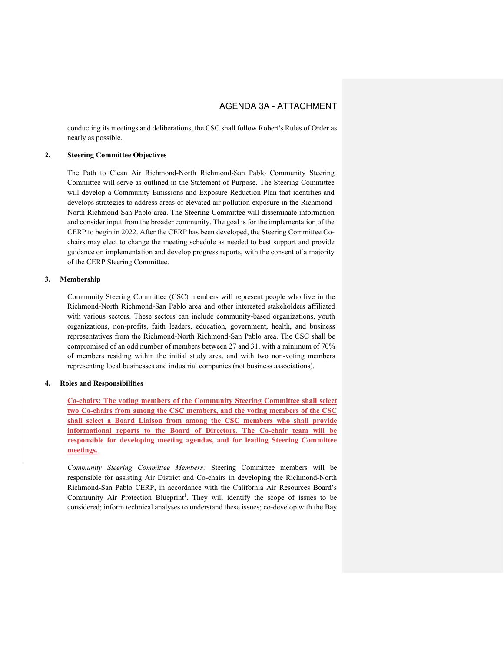conducting its meetings and deliberations, the CSC shall follow Robert's Rules of Order as nearly as possible.

### **2. Steering Committee Objectives**

The Path to Clean Air Richmond-North Richmond-San Pablo Community Steering Committee will serve as outlined in the Statement of Purpose. The Steering Committee will develop a Community Emissions and Exposure Reduction Plan that identifies and develops strategies to address areas of elevated air pollution exposure in the Richmond-North Richmond-San Pablo area. The Steering Committee will disseminate information and consider input from the broader community. The goal is for the implementation of the CERP to begin in 2022. After the CERP has been developed, the Steering Committee Cochairs may elect to change the meeting schedule as needed to best support and provide guidance on implementation and develop progress reports, with the consent of a majority of the CERP Steering Committee.

#### **3. Membership**

Community Steering Committee (CSC) members will represent people who live in the Richmond-North Richmond-San Pablo area and other interested stakeholders affiliated with various sectors. These sectors can include community-based organizations, youth organizations, non-profits, faith leaders, education, government, health, and business representatives from the Richmond-North Richmond-San Pablo area. The CSC shall be compromised of an odd number of members between 27 and 31, with a minimum of 70% of members residing within the initial study area, and with two non-voting members representing local businesses and industrial companies (not business associations).

#### **4. Roles and Responsibilities**

**Co-chairs: The voting members of the Community Steering Committee shall select two Co-chairs from among the CSC members, and the voting members of the CSC shall select a Board Liaison from among the CSC members who shall provide informational reports to the Board of Directors. The Co-chair team will be responsible for developing meeting agendas, and for leading Steering Committee meetings.**

*Community Steering Committee Members:* Steering Committee members will be responsible for assisting Air District and Co-chairs in developing the Richmond-North Richmond-San Pablo CERP, in accordance with the California Air Resources Board's Community Air Protection Blueprint<sup>1</sup>. They will identify the scope of issues to be considered; inform technical analyses to understand these issues; co-develop with the Bay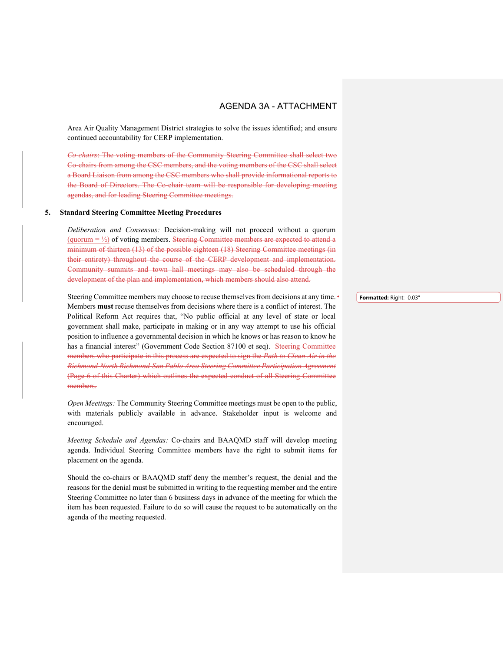Area Air Quality Management District strategies to solve the issues identified; and ensure continued accountability for CERP implementation.

*Co-chairs*: The voting members of the Community Steering Committee shall select two Co-chairs from among the CSC members, and the voting members of the CSC shall select a Board Liaison from among the CSC members who shall provide informational reports to the Board of Directors. The Co-chair team will be responsible for developing meeting agendas, and for leading Steering Committee meetings.

#### **5. Standard Steering Committee Meeting Procedures**

*Deliberation and Consensus:* Decision-making will not proceed without a quorum (quorum  $= \frac{1}{2}$ ) of voting members. Steering Committee members are expected to attend a minimum of thirteen (13) of the possible eighteen (18) Steering Committee meetings (in their entirety) throughout the course of the CERP development and implementation. Community summits and town hall meetings may also be scheduled through the development of the plan and implementation, which members should also attend.

Steering Committee members may choose to recuse themselves from decisions at any time. Members **must** recuse themselves from decisions where there is a conflict of interest. The Political Reform Act requires that, "No public official at any level of state or local government shall make, participate in making or in any way attempt to use his official position to influence a governmental decision in which he knows or has reason to know he has a financial interest" (Government Code Section 87100 et seq). Steering Committee members who participate in this process are expected to sign the *Path to Clean Air in the Richmond-North Richmond-San Pablo Area Steering Committee Participation Agreement*  (Page 6 of this Charter) which outlines the expected conduct of all Steering Committee members.

*Open Meetings:* The Community Steering Committee meetings must be open to the public, with materials publicly available in advance. Stakeholder input is welcome and encouraged.

*Meeting Schedule and Agendas:* Co-chairs and BAAQMD staff will develop meeting agenda. Individual Steering Committee members have the right to submit items for placement on the agenda.

Should the co-chairs or BAAQMD staff deny the member's request, the denial and the reasons for the denial must be submitted in writing to the requesting member and the entire Steering Committee no later than 6 business days in advance of the meeting for which the item has been requested. Failure to do so will cause the request to be automatically on the agenda of the meeting requested.

**Formatted:** Right: 0.03"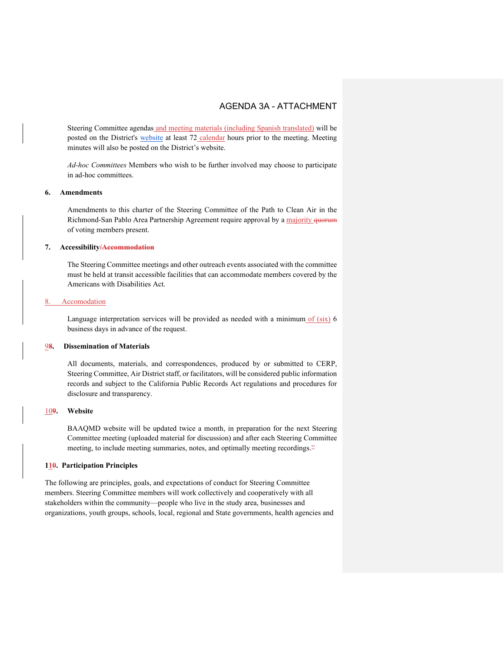Steering Committee agendas and meeting materials (including Spanish translated) will be posted on the District's [website](https://www.baaqmd.gov/community-health/community-health-protection-program/richmond-area-community-health-protection-program) at least 72 calendar hours prior to the meeting. Meeting minutes will also be posted on the District's website.

*Ad-hoc Committees* Members who wish to be further involved may choose to participate in ad-hoc committees.

#### **6. Amendments**

Amendments to this charter of the Steering Committee of the Path to Clean Air in the Richmond-San Pablo Area Partnership Agreement require approval by a majority quorum of voting members present.

#### **7. Accessibility/Accommodation**

The Steering Committee meetings and other outreach events associated with the committee must be held at transit accessible facilities that can accommodate members covered by the Americans with Disabilities Act.

### Accomodation

Language interpretation services will be provided as needed with a minimum of (six) 6 business days in advance of the request.

### 9**8. Dissemination of Materials**

All documents, materials, and correspondences, produced by or submitted to CERP, Steering Committee, Air District staff, or facilitators, will be considered public information records and subject to the California Public Records Act regulations and procedures for disclosure and transparency.

### 10**9. Website**

BAAQMD website will be updated twice a month, in preparation for the next Steering Committee meeting (uploaded material for discussion) and after each Steering Committee meeting, to include meeting summaries, notes, and optimally meeting recordings.<sup>22</sup>

### **110. Participation Principles**

The following are principles, goals, and expectations of conduct for Steering Committee members. Steering Committee members will work collectively and cooperatively with all stakeholders within the community—people who live in the study area, businesses and organizations, youth groups, schools, local, regional and State governments, health agencies and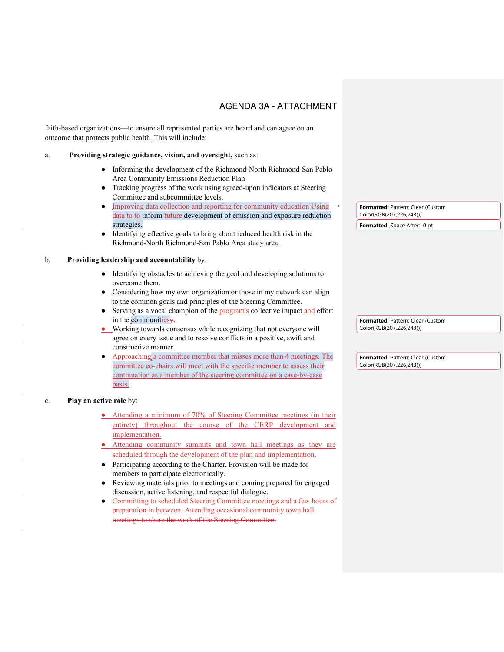faith-based organizations—to ensure all represented parties are heard and can agree on an outcome that protects public health. This will include:

### a. **Providing strategic guidance, vision, and oversight,** such as:

- Informing the development of the Richmond-North Richmond-San Pablo Area Community Emissions Reduction Plan
- Tracking progress of the work using agreed-upon indicators at Steering Committee and subcommittee levels.
- Improving data collection and reporting for community education Using data to to inform future development of emission and exposure reduction strategies.
- Identifying effective goals to bring about reduced health risk in the Richmond-North Richmond-San Pablo Area study area.

### b. **Providing leadership and accountability** by:

- Identifying obstacles to achieving the goal and developing solutions to overcome them.
- Considering how my own organization or those in my network can align to the common goals and principles of the Steering Committee.
- Serving as a vocal champion of the program's collective impact and effort in the communities y.
- Working towards consensus while recognizing that not everyone will agree on every issue and to resolve conflicts in a positive, swift and constructive manner.
- Approaching a committee member that misses more than 4 meetings. The committee co-chairs will meet with the specific member to assess their continuation as a member of the steering committee on a case-by-case basis.

### c. **Play an active role** by:

- Attending a minimum of 70% of Steering Committee meetings (in their entirety) throughout the course of the CERP development and implementation.
- Attending community summits and town hall meetings as they are scheduled through the development of the plan and implementation.
- Participating according to the Charter. Provision will be made for members to participate electronically.
- Reviewing materials prior to meetings and coming prepared for engaged discussion, active listening, and respectful dialogue.
- Committing to scheduled Steering Committee meetings and a few hours of preparation in between. Attending occasional community town hall meetings to share the work of the Steering Committee.

**Formatted:** Pattern: Clear (Custom Color(RGB(207,226,243))) **Formatted:** Space After: 0 pt

**Formatted:** Pattern: Clear (Custom Color(RGB(207,226,243)))

**Formatted:** Pattern: Clear (Custom Color(RGB(207,226,243)))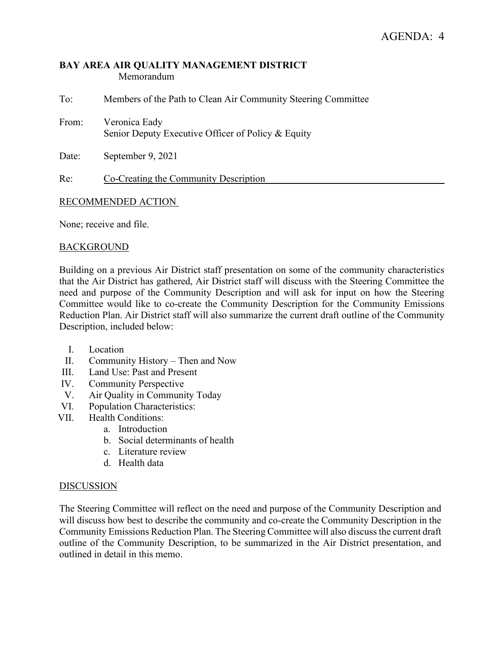### **BAY AREA AIR QUALITY MANAGEMENT DISTRICT** Memorandum

| To:   | Members of the Path to Clean Air Community Steering Committee       |
|-------|---------------------------------------------------------------------|
| From: | Veronica Eady<br>Senior Deputy Executive Officer of Policy & Equity |
| Date: | September 9, 2021                                                   |

Re: Co-Creating the Community Description

### RECOMMENDED ACTION

None; receive and file.

### BACKGROUND

Building on a previous Air District staff presentation on some of the community characteristics that the Air District has gathered, Air District staff will discuss with the Steering Committee the need and purpose of the Community Description and will ask for input on how the Steering Committee would like to co-create the Community Description for the Community Emissions Reduction Plan. Air District staff will also summarize the current draft outline of the Community Description, included below:

- I. Location
- II. Community History Then and Now
- III. Land Use: Past and Present
- IV. Community Perspective
- V. Air Quality in Community Today
- VI. Population Characteristics:
- VII. Health Conditions:
	- a. Introduction
	- b. Social determinants of health
	- c. Literature review
	- d. Health data

### DISCUSSION

The Steering Committee will reflect on the need and purpose of the Community Description and will discuss how best to describe the community and co-create the Community Description in the Community Emissions Reduction Plan. The Steering Committee will also discuss the current draft outline of the Community Description, to be summarized in the Air District presentation, and outlined in detail in this memo.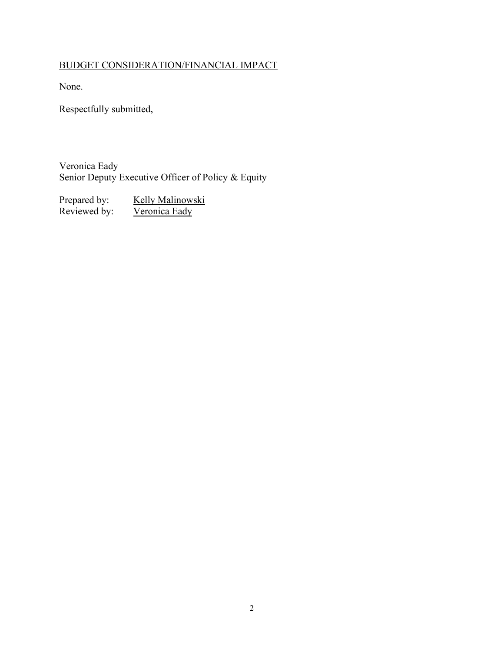# BUDGET CONSIDERATION/FINANCIAL IMPACT

None.

Respectfully submitted,

Veronica Eady Senior Deputy Executive Officer of Policy & Equity

Prepared by: Kelly Malinowski Reviewed by: Veronica Eady